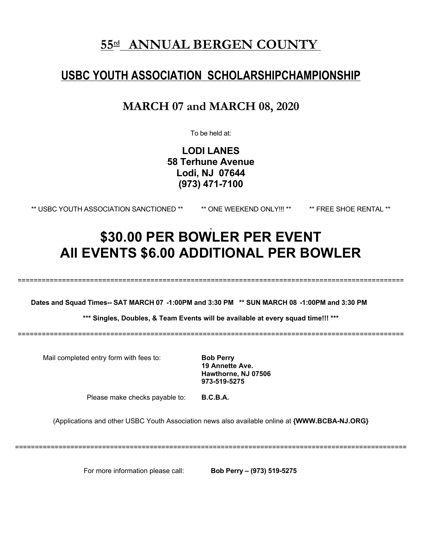# **55 rd ANNUAL BERGEN COUNTY**

# **USBC YOUTH ASSOCIATION SCHOLARSHIPCHAMPIONSHIP**

# **MARCH 07 and MARCH 08, 2020**

To be held at:

**LODI LANES 58 Terhune Avenue Lodi, NJ 07644 (973) 471-7100**

\*\* USBC YOUTH ASSOCIATION SANCTIONED \*\* \*\* ONE WEEKEND ONLY!!! \*\* \*\* FREE SHOE RENTAL \*\*

# **\$30.00 PER BOWLER PER EVENT All EVENTS \$6.00 ADDITIONAL PER BOWLER**

================================================================================================

Dates and Squad Times-- SAT MARCH 07 -1:00PM and 3:30 PM \*\* SUN MARCH 08 -1:00PM and 3:30 PM

**\*\*\* Singles, Doubles, & Team Events will be available at every squad time!!! \*\*\***

================================================================================================

Mail completed entry form with fees to: **Bob Perry**

**19 Annette Ave. Hawthorne, NJ 07506 973-519-5275**

Please make checks payable to: **B.C.B.A.**

(Applications and other USBC Youth Association news also available online at **{WWW.BCBA-NJ.ORG}**

===================================================================================================

For more information please call: **Bob Perry – (973) 519-5275**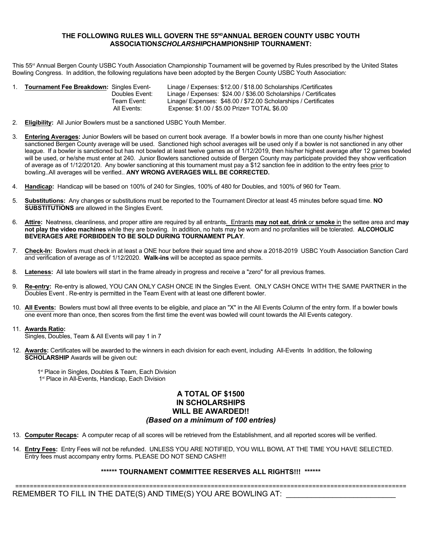#### **THE FOLLOWING RULES WILL GOVERN THE 55 NDANNUAL BERGEN COUNTY USBC YOUTH ASSOCIATION***SCHOLARSHIP***CHAMPIONSHIP TOURNAMENT:**

This 55<sup>rd</sup> Annual Bergen County USBC Youth Association Championship Tournament will be governed by Rules prescribed by the United States Bowling Congress. In addition, the following regulations have been adopted by the Bergen County USBC Youth Association:

| <b>Tournament Fee Breakdown: Singles Event-</b> | Linage / Expenses: \$12.00 / \$18.00 Scholarships / Certificates |  |
|-------------------------------------------------|------------------------------------------------------------------|--|
| Doubles Event:                                  | Linage / Expenses: \$24.00 / \$36.00 Scholarships / Certificates |  |
| Team Event:                                     | Linage/ Expenses: \$48.00 / \$72.00 Scholarships / Certificates  |  |
| All Events:                                     | Expense: \$1.00 / \$5.00 Prize= TOTAL \$6.00                     |  |

- 2. **Eligibility:** All Junior Bowlers must be a sanctioned USBC Youth Member.
- 3. **Entering Averages:** Junior Bowlers will be based on current book average. If a bowler bowls in more than one county his/herhighest sanctioned Bergen County average will be used. Sanctioned high school averages will be used only if a bowler is not sanctioned in any other league. If a bowler is sanctioned but has not bowled at least twelve games as of 1/12/2019, then his/her highest average after 12 games bowled will be used, or he/she must enter at240. Junior Bowlers sanctioned outside of Bergen County may participate provided they show verification of average as of 1/12/20120. Any bowlersanctioning at this tournament must pay a \$12 sanction fee in addition to the entry fees prior to bowling..All averages will be verified.. **ANY WRONG AVERAGES WILL BE CORRECTED.**
- 4. **Handicap:** Handicap will be based on 100% of 240 for Singles, 100% of 480 for Doubles, and 100% of 960 for Team.
- 5. **Substitutions:** Any changes or substitutions must be reported to the Tournament Director at least 45 minutes before squad time.**NO SUBSTITUTIONS** are allowed in the Singles Event.
- 6. **Attire:** Neatness, cleanliness, and proper attire are required by all entrants. Entrants **may not eat**, **drink** or **smoke** in the settee area and **may not play the video machines** while they are bowling. In addition, no hats may be worn and no profanities willbe tolerated. **ALCOHOLIC BEVERAGES ARE FORBIDDEN TO BE SOLD DURING TOURNAMENT PLAY**.
- 7. **Check-In:** Bowlers must check in at least a ONE hour before their squad time and show a 2018-2019 USBC Youth Association Sanction Card and verification of average as of 1/12/2020. **Walk-ins** will be accepted as space permits.
- 8. **Lateness:** All late bowlers will start in the frame already in progress and receive a "zero" forall previous frames.
- 9. **Re-entry:** Re-entry is allowed, YOU CAN ONLY CASH ONCE IN the Singles Event. ONLY CASH ONCE WITH THE SAME PARTNER in the Doubles Event . Re-entry is permitted in the Team Event with at least one different bowler.
- 10. **All Events:** Bowlers must bowl all three events to be eligible, and place an "X" in the All Events Column of the entry form. If a bowler bowls one event more than once, then scores from the first time the event was bowled will count towards the All Events category.11. **Awards Ratio:**

# Singles, Doubles, Team & All Events will pay 1 in 7

12. **Awards:** Certificates will be awarded to the winners in each division for each event, including All-Events In addition, the following **SCHOLARSHIP** Awards will be given out:

1<sup>st</sup> Place in Singles, Doubles & Team, Each Division 1 st Place in All-Events, Handicap, Each Division

#### **A TOTAL OF \$1500 IN SCHOLARSHIPS WILL BE AWARDED!!** *(Based on a minimum of 100 entries)*

- 13. **Computer Recaps:** A computer recap of all scores will be retrieved from the Establishment, and all reported scores will be verified.
- 14. **Entry Fees:** Entry Fees will not be refunded. UNLESS YOU ARE NOTIFIED, YOU WILL BOWL AT THE TIME YOU HAVE SELECTED. Entry fees must accompany entry forms. PLEASE DO NOT SEND CASH!!!

#### **\*\*\*\*\*\* TOURNAMENT COMMITTEE RESERVES ALL RIGHTS!!! \*\*\*\*\*\***

============================================================================================================

REMEMBER TO FILL IN THE DATE(S) AND TIME(S) YOU ARE BOWLING AT: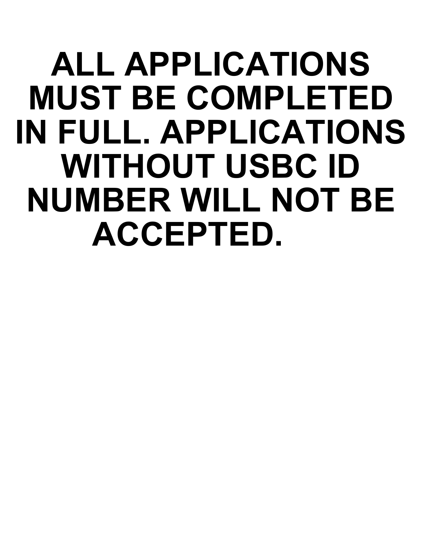# **ALL APPLICATIONS MUST BE COMPLETED IN FULL. APPLICATIONS WITHOUT USBC ID NUMBER WILL NOT BE ACCEPTED.**